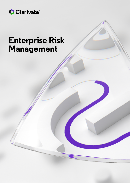

# **Enterprise Risk Management**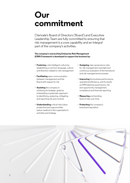# **Our commitment**

Clarivate's Board of Directors ('Board') and Executive Leadership Team are fully committed to ensuring that risk management is a core capability and an integral part of the company's activities.

## **The company's overarching Enterprise Risk Management (ERM) Framework is developed to support the business by:**

- **• Fostering** a risk intelligent culture by establishing a common language, culture and direction related to risk management
- **• Facilitating** open communication between management and the Board with respect to risk
- **• Assisting** the company in achieving its strategic goals by embedding a systematic approach to identifying, analyzing, mitigating and reporting risk and controls
- **• Understanding** critical risks (value protection) and opportunities (value creation) in the organization's activities and strategy
- **• Assigning** clear governance roles for risk management oversight and continuous evaluation of the framework and risk management processes
- **• Improving** the business performance, operational efficiency, and its results as ERM balances governance, risk and opportunity management, compliance and financial reporting
- **• Measuring** and trending level of risks over time
- **• Protecting** the company's brand and reputation

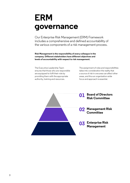# **ERM governance**

Our Enterprise Risk Management (ERM) Framework includes a comprehensive and defined accountability of the various components of a risk management process.

**Risk Management is the responsibility of every colleague in the company. Different stakeholders have different objectives and levels of accountability with respect to risk management.**

The Executive Leadership Team ensures that those who are responsible are equipped to fulfil their role by providing them with the appropriate authority, training and resources.

The assignment of roles and responsibilities takes into consideration the reality that a source of risk in one area can affect other areas, and thus an organization-wide focus and approach is essential.

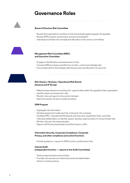# **Governance Roles**



## **Board of Directors Risk Committee**

- Review the organization's portfolio of risk and evaluate against agreed risk appetite
- Review ERM program: governance, process and adoption
- Individual prioritized risk oversight and allocation to the various committees



## **Management Risk Committee (MRC) and Executive Committee**

- Engage in identification and assessment of risks
- Oversee ERM processes and efforts to monitor, control and mitigate risks
- Ensure alignment to the strategic planning process and allocation of resources



## **Risk Owners / Business / Operational Risk Boards (Science and IP Group)**

- Make business decisions involving risk / opportunities within the appetite of the organization
- Identify, assess and respond to risks
- Monitor risks and report to the central risk team
- Appoint business risk and compliance liaison

### **ERM Program**

- Aggregate risk information
- Develop assessment scales and risk universe for the company
- Facilitate MRC, Operational Risk Boards and Executive Leadership Team, and other individual stakeholders, to identify, assess, develop response plans for and prioritize risks
- Monitor risks and risk response plans
- Report to BOD and shareholders (via Risk Factors in 10K)

## **Information Security, Corporate Compliance, Corporate Privacy, and other compliance and control functions**

• Provide guidance / support to ERM function and Business Units

### **Internal Audit**

### **(independent function — reports to the Audit Committee)**

- Testing response plans and activities
- Provides risk assurance to internal and external stakeholders
- Advice on best practices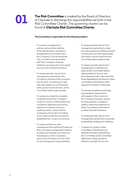

**The Risk Committee** is created by the Board of Directors of Clarivate to discharge the responsibilities set forth in the Risk Committee Charter. The governing charter can be found at **[Clarivate Risk Committee Charter](https://ir.clarivate.com/Cache/IRCache/3ddf1fc1-28db-9771-a9d4-e50c8165dfc7.PDF?O=PDF&T=&Y=&D=&FID=3ddf1fc1-28db-9771-a9d4-e50c8165dfc7&iid=5317848)**.

## **The Committee is responsible for the following matters:**

- To oversee management's policies and activities relating to the identification, evaluation, management and monitoring of the Company's critical enterprise risks, including risks associated with the Company's strategic initiatives, business plans and capital structure (the "Enterprise Risks");
- To review periodic reports from management pertaining to the Company's Business Units, products and services, including any major risks with respect to such Business Units, products and services, as the Committee deems appropriate;
- To review any material complaints received through the Company's Code of Conduct hotline (other than complaints regarding accounting, internal accounting controls or auditing matters, which shall be reviewed by the Audit Committee in accordance with the procedures established by it under such policy);
- To review and discuss with management the significant Enterprise Risks, the steps management is taking to assess and manage such risks and the adequacy of the Company's resources and infrastructure to fulfill its risk management responsibilities;
- To review periodic reports from management pertaining to cyber security programs and data protection controls and such other appropriate information security reports as the Committee deems appropriate;
- To review periodic reports from management on selected risk topics as the Committee deems appropriate from time to time encompassing major risks other than those delegated by the Board to other committees of the Board in their respective charters or otherwise;
- To oversee compliance with legal and regulatory requirements with respect to the conduct of the Company's business, except for those specific compliance matters under the jurisdiction of other Committees of the Board, as determined by the Board;
- To review periodic reports from management pertaining to corporate sustainability strategy and initiatives;
- To assign for review to other committees of the Board such selected risk topics identified by the Committee as the Committee determines is appropriate for effective oversight of such risk.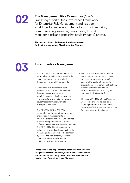

## **The Management Risk Committee** (MRC)

is an integral part of the Governance Framework for Enterprise Risk Management and has been established to serve as an internal forum for identifying, communicating, assessing, responding to, and monitoring risk and issues that could impact Clarivate.

**The responsibilities of this committee have been set forth in the Management Risk Committee Charter.** 



- responsible for maintaining a sustainable risk management program following the company wide ERM framework.
- Operational Risk Boards have been identified at our Business Unit level and these serve as an internal forum for identifying, communicating, assessing, responding to, and monitoring risks and issues that could impact Clarivate at an operational level.
- The Chief Risk Officer (CRO) is responsible for the establishment of the enterprise risk management process within the organization. ERM understands the relationship between risks across different categories (risk interdependencies). The CRO will facilitate the process to define risk oversight and accountability for managing risks at all levels of the company by presenting best practice, common risk management techniques and driving a consistent risk appetite.
- **Please refer to the Appendix for further details of how ERM integrates within the business, and outline of the key roles and responsibilities delegated to the CRO, Business Unit Leaders, and Operational Level Managers.**
- The CRO will collaborate with other teams that support our second line of defense: Compliance, Information Security, Privacy functions, etc. to ensure alignment of common objectives, evaluate common frameworks, establish coordinated reporting and minimize duplication of efforts.
- The Internal Audit function at Clarivate will provide ongoing advice, be a standing member of the MRC and include the ERM program as an auditable function in the Audit Universe.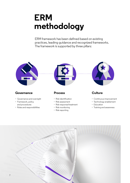# **ERM methodology**

ERM framework has been defined based on existing practices, leading guidance and recognized frameworks. The framework is supported by three pillars:



## **Governance Process Culture**

- Governance and oversight
- Framework, policy and procedures
- Roles and responsibilities



- Risk identification
- Risk assessment
- Risk response/treatment
- Risk monitoring
- Risk reporting



- Continuous improvement
- Technology enablement
- Education
- Training and awareness

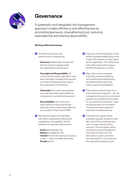

## **Governance**

A systematic and integrated risk management approach creates efficiency and effectiveness by promoting teamwork, strengthening trust, reducing redundancies and sharing responsibility.

## **Working within the business:**

- The following elements are **1 3** essential when managing risk:
	- **Assurance**: Stakeholders are assured that risk is being managed within the organization's risk tolerance.
	- **Oversight and Responsibility**: All critical risks facing the organization have been identified, managed and reported on a level and frequency that support the organization's risk tolerance.
	- **Ownership**: Risk owners are assigned and understand their responsibility for management, oversight and assurance.
	- **Accountability**: Risk owners and other parties are given appropriate authority and are made responsible and accountable for their roles in ERM.
- Risk response options for identified **2 6** risks will be assessed according to the organization's risk appetite. The four possible risk responses options are to:
	- **Avoid** (eliminate) the risk;
	- **Reduce** (mitigate) the risk;
	- **Transfer** the risk (for example, insurance; in part — share or transfer entire risk);
	- **Accept** the risk.
- A formal or informal evaluation of risk will be considered depending on the scope of the decision or action taken by the organization. This will be done both at the onset and throughout the life of the decision or action.
- Major risks must be managed **4** in a timely manner by defining, documenting and implementing risk treatment plans with clear actions, owners and deadlines.
- **5** There will be a desire to learn from events that have transpired — the risk management process is a cycle where experience provides key information for new decisions and actions. Open and appropriate communication of results and lessons learned is required to facilitate learning.
- **6** Clarivate's risk register will be evaluated regularly, at least annually. New risks will be considered and risks no longer relevant will be removed. The risk register will be refreshed by rating the likelihood and impact for each risk. This information is used to prioritize the risks and this, in turn, flows into the organization planning cycle.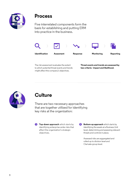

## **Process**

Five interrelated components form the basis for establishing and putting ERM into practice in the business.



The risk assessment evaluates the extent to which potential threat events and trends might affect the company's objectives.

**Threat events and trends are assessed by two criteria - impact and likelihood.**



# **Culture**

There are two necessary approaches that are together utilized for identifying key risks at the organization:

**1. Top-down approach** which starts by **2.** identifying enterprise-wide risks that affect the organization's strategic objectives.

**2. Bottom-up approach** which starts by identifying the assets at a Business Unit level, determining and assessing relevant threats and controls in place.

> **3.** Assessed risks are aggregated and rolled-up to division level and **4.** Clarivate group level.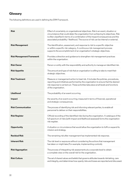## **Glossary**

The following definitions are used in defining the ERM Framework.

| <b>Risk</b>                      | Effect of uncertainty on organizational objectives. Risk is an event, situation or<br>circumstance that could deter the organization from achieving its objectives. Risk<br>is often classified in terms of a combination of the impact/consequences and the<br>associated probability / likelihood. The source of risk can be internal or external. |
|----------------------------------|------------------------------------------------------------------------------------------------------------------------------------------------------------------------------------------------------------------------------------------------------------------------------------------------------------------------------------------------------|
| <b>Risk Management</b>           | The identification, assessment, and response to risk to a specific objective<br>or within a specific risk category. A continuous risk management process<br>supports the accomplishment of an organization's strategic objectives.                                                                                                                   |
| <b>Risk Management Framework</b> | Provides a direction and guidance to strengthen risk management practices<br>within the organization.                                                                                                                                                                                                                                                |
| <b>Risk Owner</b>                | Person or entity with the responsibility and authority to manage an identified risk.                                                                                                                                                                                                                                                                 |
| <b>Risk Appetite</b>             | The amount and type of risk that an organization is willing to take to meet their<br>strategic objectives.                                                                                                                                                                                                                                           |
| <b>Risk Treatment</b>            | Measure or management action to treat risk. It includes the policies, procedures,<br>reporting and initiatives performed by the organization to ensure that the desired<br>risk response is carried out. These activities take place at all levels and functions<br>of the organization.                                                             |
| Likelihood                       | The probability of an event occurring.                                                                                                                                                                                                                                                                                                               |
| Impact                           | the severity of an event occurring; measured in terms of financial, operational<br>and strategic consequences.                                                                                                                                                                                                                                       |
| <b>Risk Communication</b>        | The process of identifying risk and informing relevant parties, to enable all<br>personnel to deliver on their responsibilities.                                                                                                                                                                                                                     |
| <b>Risk Register</b>             | Official recording of the identified risks facing the organization. A catalogue of the<br>full spectrum of risks (with impact and likelihood assessed) forms the organization<br>risk register.                                                                                                                                                      |
| Opportunity                      | A situation or circumstance that would allow the organization to fulfil or expand its<br>mission and strategy.                                                                                                                                                                                                                                       |
| <b>Residual Risk</b>             | The remaining risk after management has implemented risk response.                                                                                                                                                                                                                                                                                   |
| <b>Inherent Risk</b>             | The risk level or exposure without considering the actions that management<br>has taken or might take (For example, implementing controls).                                                                                                                                                                                                          |
| <b>Risk Aggregation</b>          | The process of integrating risk assessments at a corporate level to obtain<br>a complete view on the overall risk for the organization.                                                                                                                                                                                                              |
| <b>Risk Culture</b>              | The set of shared values and beliefs that governs attitudes towards risk-taking, care<br>and integrity, and determines how openly risks and losses are reported and discussed.                                                                                                                                                                       |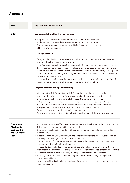## **Appendix**

| Team                                                                                           | Key roles and responsibilities                                                                                                                                                                                                                                                                                                                                                                                                                                                                                                                                                                                                                                                                                                                                                                                                                                                                                                                                                                                                                                                                                                                                                                                                                                                                                                                                                                                                                                                    |
|------------------------------------------------------------------------------------------------|-----------------------------------------------------------------------------------------------------------------------------------------------------------------------------------------------------------------------------------------------------------------------------------------------------------------------------------------------------------------------------------------------------------------------------------------------------------------------------------------------------------------------------------------------------------------------------------------------------------------------------------------------------------------------------------------------------------------------------------------------------------------------------------------------------------------------------------------------------------------------------------------------------------------------------------------------------------------------------------------------------------------------------------------------------------------------------------------------------------------------------------------------------------------------------------------------------------------------------------------------------------------------------------------------------------------------------------------------------------------------------------------------------------------------------------------------------------------------------------|
| <b>CRO</b>                                                                                     | Support and strengthen Risk Governance                                                                                                                                                                                                                                                                                                                                                                                                                                                                                                                                                                                                                                                                                                                                                                                                                                                                                                                                                                                                                                                                                                                                                                                                                                                                                                                                                                                                                                            |
|                                                                                                | • Supports Risk Committee, Management, and the Board and facilitates<br>implementation and coordination of governance, policy and appetite.<br>• Ensures risk management governance within Business Units is compatible<br>with enterprise governance.                                                                                                                                                                                                                                                                                                                                                                                                                                                                                                                                                                                                                                                                                                                                                                                                                                                                                                                                                                                                                                                                                                                                                                                                                            |
|                                                                                                | <b>Design and embed</b>                                                                                                                                                                                                                                                                                                                                                                                                                                                                                                                                                                                                                                                                                                                                                                                                                                                                                                                                                                                                                                                                                                                                                                                                                                                                                                                                                                                                                                                           |
|                                                                                                | • Designs and embed a consistent and sustainable approach for enterprise risk assessment,<br>assessment scales, risk universe, taxonomy.<br>• Establishes and integrates a sustainable corporate risk management framework to ensure<br>that the Business Units have processes in place to identify, measure, monitor, mitigate and<br>report on risks and associated mitigation strategies consistent with this policy and corporate<br>risk tolerances. Assists managers to integrate this into Business Unit's business planning and<br>performance management.<br>• Ensures risk information reporting processes are clear and opportunities exist for discussing<br>risk interdependencies to enable better exchange of risk information.<br><b>Ongoing Risk Monitoring and Reporting</b><br>• Works with the Risk Committee and MRC to establish regular reporting rhythm.<br>• Monitors risk profile and mitigation programs and routinely reports to MRC and Risk<br>Committee of the Board any material changes in the corporate risk profile.<br>• Independently oversees and assesses risk management and mitigation efforts. Reviews<br>Business Unit risk mitigation proposals for enterprise-wide alignment and considers<br>their potential impact on other mitigation plans across the organization.<br>• Develops compendium of risk mitigation best practices.<br>• Advocate for Business Unit-level risk mitigation funding that will affect enterprise risks. |
| Operational<br><b>Risk Boards,</b><br><b>Business Unit</b><br>and Functional<br><b>Leaders</b> | • In coordination with the CRO, the Operational Risk Boards will facilitate the incorporation of<br>Risk Management processes within their verticals.<br>• Business Unit and Functional leaders will incorporate risk management processes within<br>their purview.<br>• In coordination with CRO, Business Unit and Functional leaders should conduct deep dives<br>to identify risks and align / map risks to enterprise risks.<br>• Business Unit and Functional leaders will define internal monitoring approach, response<br>strategies and drive mitigation action plans.<br>• Manage day to day, short and long-term business risks and ensure activities are within risk<br>tolerances and in compliance with approved risk management policies, procedures and limits.<br>• Monitor mitigation strategies to verify their appropriateness and effectiveness.<br>• Regularly assess and report to the MRC any exceptions to risk management policies,<br>procedures and limits.                                                                                                                                                                                                                                                                                                                                                                                                                                                                                           |

• Develop key risk indicators that support ongoing monitoring of risk trends and benchmark against risk appetite.